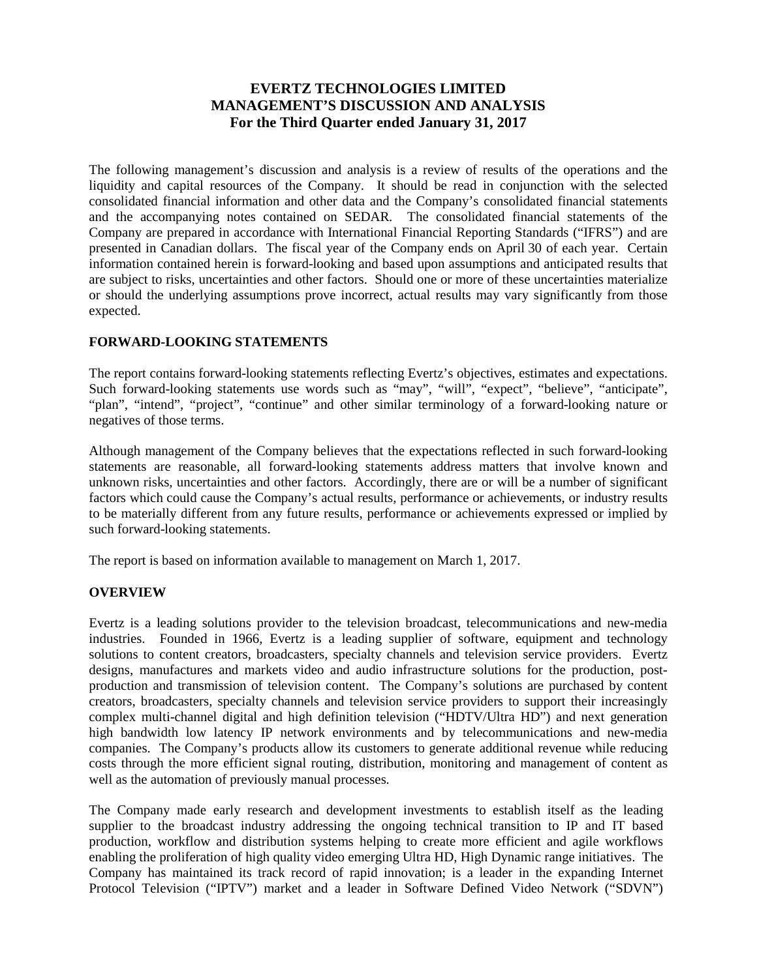# **EVERTZ TECHNOLOGIES LIMITED MANAGEMENT'S DISCUSSION AND ANALYSIS For the Third Quarter ended January 31, 2017**

The following management's discussion and analysis is a review of results of the operations and the liquidity and capital resources of the Company. It should be read in conjunction with the selected consolidated financial information and other data and the Company's consolidated financial statements and the accompanying notes contained on SEDAR. The consolidated financial statements of the Company are prepared in accordance with International Financial Reporting Standards ("IFRS") and are presented in Canadian dollars. The fiscal year of the Company ends on April 30 of each year. Certain information contained herein is forward-looking and based upon assumptions and anticipated results that are subject to risks, uncertainties and other factors. Should one or more of these uncertainties materialize or should the underlying assumptions prove incorrect, actual results may vary significantly from those expected.

## **FORWARD-LOOKING STATEMENTS**

The report contains forward-looking statements reflecting Evertz's objectives, estimates and expectations. Such forward-looking statements use words such as "may", "will", "expect", "believe", "anticipate", "plan", "intend", "project", "continue" and other similar terminology of a forward-looking nature or negatives of those terms.

Although management of the Company believes that the expectations reflected in such forward-looking statements are reasonable, all forward-looking statements address matters that involve known and unknown risks, uncertainties and other factors. Accordingly, there are or will be a number of significant factors which could cause the Company's actual results, performance or achievements, or industry results to be materially different from any future results, performance or achievements expressed or implied by such forward-looking statements.

The report is based on information available to management on March 1, 2017.

## **OVERVIEW**

Evertz is a leading solutions provider to the television broadcast, telecommunications and new-media industries. Founded in 1966, Evertz is a leading supplier of software, equipment and technology solutions to content creators, broadcasters, specialty channels and television service providers. Evertz designs, manufactures and markets video and audio infrastructure solutions for the production, postproduction and transmission of television content. The Company's solutions are purchased by content creators, broadcasters, specialty channels and television service providers to support their increasingly complex multi-channel digital and high definition television ("HDTV/Ultra HD") and next generation high bandwidth low latency IP network environments and by telecommunications and new-media companies. The Company's products allow its customers to generate additional revenue while reducing costs through the more efficient signal routing, distribution, monitoring and management of content as well as the automation of previously manual processes.

The Company made early research and development investments to establish itself as the leading supplier to the broadcast industry addressing the ongoing technical transition to IP and IT based production, workflow and distribution systems helping to create more efficient and agile workflows enabling the proliferation of high quality video emerging Ultra HD, High Dynamic range initiatives. The Company has maintained its track record of rapid innovation; is a leader in the expanding Internet Protocol Television ("IPTV") market and a leader in Software Defined Video Network ("SDVN")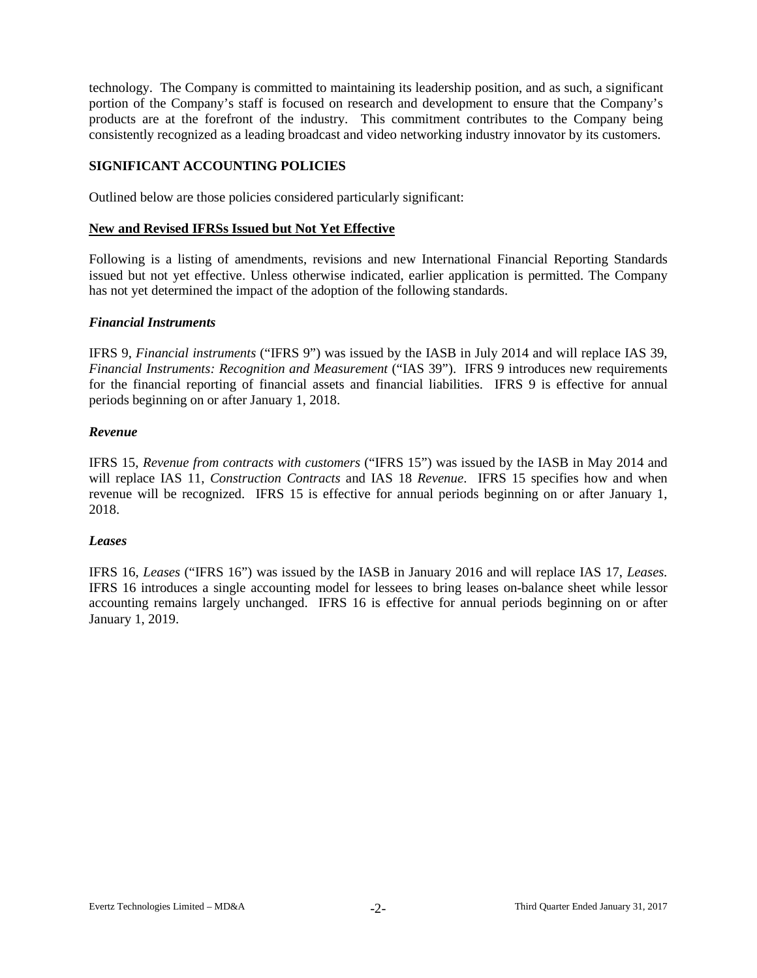technology. The Company is committed to maintaining its leadership position, and as such, a significant portion of the Company's staff is focused on research and development to ensure that the Company's products are at the forefront of the industry. This commitment contributes to the Company being consistently recognized as a leading broadcast and video networking industry innovator by its customers.

## **SIGNIFICANT ACCOUNTING POLICIES**

Outlined below are those policies considered particularly significant:

#### **New and Revised IFRSs Issued but Not Yet Effective**

Following is a listing of amendments, revisions and new International Financial Reporting Standards issued but not yet effective. Unless otherwise indicated, earlier application is permitted. The Company has not yet determined the impact of the adoption of the following standards.

#### *Financial Instruments*

IFRS 9, *Financial instruments* ("IFRS 9") was issued by the IASB in July 2014 and will replace IAS 39, *Financial Instruments: Recognition and Measurement* ("IAS 39"). IFRS 9 introduces new requirements for the financial reporting of financial assets and financial liabilities. IFRS 9 is effective for annual periods beginning on or after January 1, 2018.

### *Revenue*

IFRS 15, *Revenue from contracts with customers* ("IFRS 15") was issued by the IASB in May 2014 and will replace IAS 11, *Construction Contracts* and IAS 18 *Revenue*. IFRS 15 specifies how and when revenue will be recognized. IFRS 15 is effective for annual periods beginning on or after January 1, 2018.

#### *Leases*

IFRS 16, *Leases* ("IFRS 16") was issued by the IASB in January 2016 and will replace IAS 17, *Leases.* IFRS 16 introduces a single accounting model for lessees to bring leases on-balance sheet while lessor accounting remains largely unchanged. IFRS 16 is effective for annual periods beginning on or after January 1, 2019.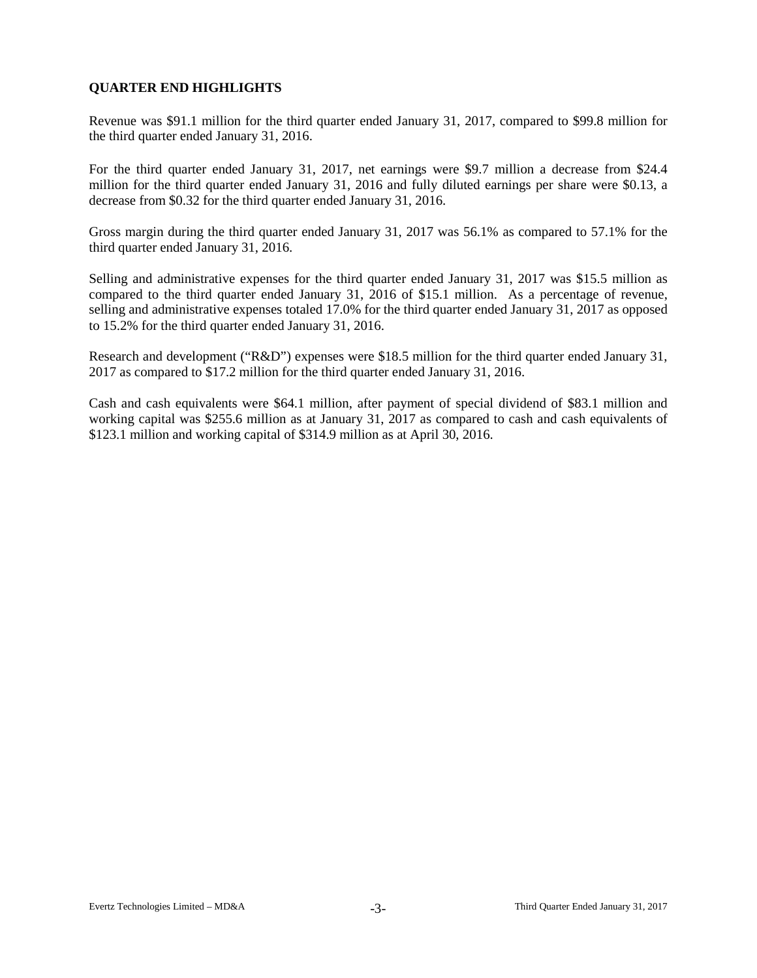# **QUARTER END HIGHLIGHTS**

Revenue was \$91.1 million for the third quarter ended January 31, 2017, compared to \$99.8 million for the third quarter ended January 31, 2016.

For the third quarter ended January 31, 2017, net earnings were \$9.7 million a decrease from \$24.4 million for the third quarter ended January 31, 2016 and fully diluted earnings per share were \$0.13, a decrease from \$0.32 for the third quarter ended January 31, 2016.

Gross margin during the third quarter ended January 31, 2017 was 56.1% as compared to 57.1% for the third quarter ended January 31, 2016.

Selling and administrative expenses for the third quarter ended January 31, 2017 was \$15.5 million as compared to the third quarter ended January 31, 2016 of \$15.1 million. As a percentage of revenue, selling and administrative expenses totaled 17.0% for the third quarter ended January 31, 2017 as opposed to 15.2% for the third quarter ended January 31, 2016.

Research and development ("R&D") expenses were \$18.5 million for the third quarter ended January 31, 2017 as compared to \$17.2 million for the third quarter ended January 31, 2016.

Cash and cash equivalents were \$64.1 million, after payment of special dividend of \$83.1 million and working capital was \$255.6 million as at January 31, 2017 as compared to cash and cash equivalents of \$123.1 million and working capital of \$314.9 million as at April 30, 2016.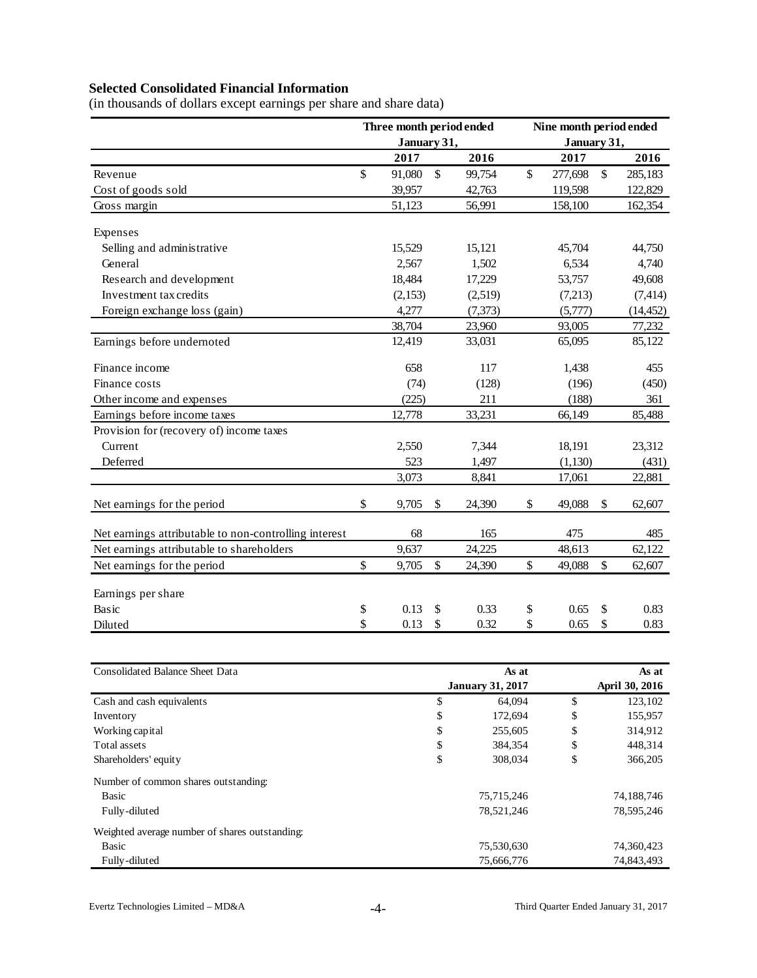# **Selected Consolidated Financial Information**

(in thousands of dollars except earnings per share and share data)

|                                                       | Three month period ended |              |          | Nine month period ended |             |              |           |  |  |
|-------------------------------------------------------|--------------------------|--------------|----------|-------------------------|-------------|--------------|-----------|--|--|
|                                                       | January 31,              |              |          |                         | January 31, |              |           |  |  |
|                                                       | 2017                     |              | 2016     |                         | 2017        |              | 2016      |  |  |
| Revenue                                               | \$<br>91,080             | $\mathbb{S}$ | 99,754   | \$                      | 277,698     | $\mathbb{S}$ | 285,183   |  |  |
| Cost of goods sold                                    | 39,957                   |              | 42,763   |                         | 119,598     |              | 122,829   |  |  |
| Gross margin                                          | 51,123                   |              | 56,991   |                         | 158,100     |              | 162,354   |  |  |
| Expenses                                              |                          |              |          |                         |             |              |           |  |  |
| Selling and administrative                            | 15,529                   |              | 15,121   |                         | 45,704      |              | 44,750    |  |  |
| General                                               | 2,567                    |              | 1,502    |                         | 6,534       |              | 4,740     |  |  |
| Research and development                              | 18,484                   |              | 17,229   |                         | 53,757      |              | 49,608    |  |  |
| Investment tax credits                                | (2,153)                  |              | (2,519)  |                         | (7,213)     |              | (7, 414)  |  |  |
| Foreign exchange loss (gain)                          | 4,277                    |              | (7, 373) |                         | (5,777)     |              | (14, 452) |  |  |
|                                                       | 38,704                   |              | 23,960   |                         | 93,005      |              | 77,232    |  |  |
| Earnings before undernoted                            | 12,419                   |              | 33,031   |                         | 65,095      |              | 85,122    |  |  |
| Finance income                                        | 658                      |              | 117      |                         | 1,438       |              | 455       |  |  |
| Finance costs                                         | (74)                     |              | (128)    |                         | (196)       |              | (450)     |  |  |
| Other income and expenses                             | (225)                    |              | 211      |                         | (188)       |              | 361       |  |  |
| Earnings before income taxes                          | 12,778                   |              | 33,231   |                         | 66,149      |              | 85,488    |  |  |
| Provision for (recovery of) income taxes              |                          |              |          |                         |             |              |           |  |  |
| Current                                               | 2,550                    |              | 7,344    |                         | 18,191      |              | 23,312    |  |  |
| Deferred                                              | 523                      |              | 1,497    |                         | (1, 130)    |              | (431)     |  |  |
|                                                       | 3,073                    |              | 8,841    |                         | 17,061      |              | 22,881    |  |  |
| Net earnings for the period                           | \$<br>9,705              | $\mathbb{S}$ | 24,390   | \$                      | 49,088      | \$           | 62,607    |  |  |
| Net earnings attributable to non-controlling interest | 68                       |              | 165      |                         | 475         |              | 485       |  |  |
| Net earnings attributable to shareholders             | 9,637                    |              | 24,225   |                         | 48,613      |              | 62,122    |  |  |
| Net earnings for the period                           | \$<br>9,705              | $\mathbb{S}$ | 24,390   | \$                      | 49,088      | \$           | 62,607    |  |  |
| Earnings per share                                    |                          |              |          |                         |             |              |           |  |  |
| Basic                                                 | \$<br>0.13               | \$           | 0.33     | \$                      | 0.65        | \$           | 0.83      |  |  |
| Diluted                                               | \$<br>0.13               | \$           | 0.32     | \$                      | 0.65        | \$           | 0.83      |  |  |

| <b>Consolidated Balance Sheet Data</b>         | As at                   | As at |                |  |  |  |
|------------------------------------------------|-------------------------|-------|----------------|--|--|--|
|                                                | <b>January 31, 2017</b> |       | April 30, 2016 |  |  |  |
| Cash and cash equivalents                      | \$<br>64.094            | \$    | 123,102        |  |  |  |
| Inventory                                      | \$<br>172,694           | \$    | 155,957        |  |  |  |
| Working capital                                | \$<br>255,605           | \$    | 314,912        |  |  |  |
| Total assets                                   | \$<br>384,354           | \$    | 448,314        |  |  |  |
| Shareholders' equity                           | \$<br>308,034           | \$    | 366,205        |  |  |  |
| Number of common shares outstanding:           |                         |       |                |  |  |  |
| Basic                                          | 75,715,246              |       | 74,188,746     |  |  |  |
| Fully-diluted                                  | 78,521,246              |       | 78,595,246     |  |  |  |
| Weighted average number of shares outstanding: |                         |       |                |  |  |  |
| Basic                                          | 75,530,630              |       | 74,360,423     |  |  |  |
| Fully-diluted                                  | 75,666,776              |       | 74,843,493     |  |  |  |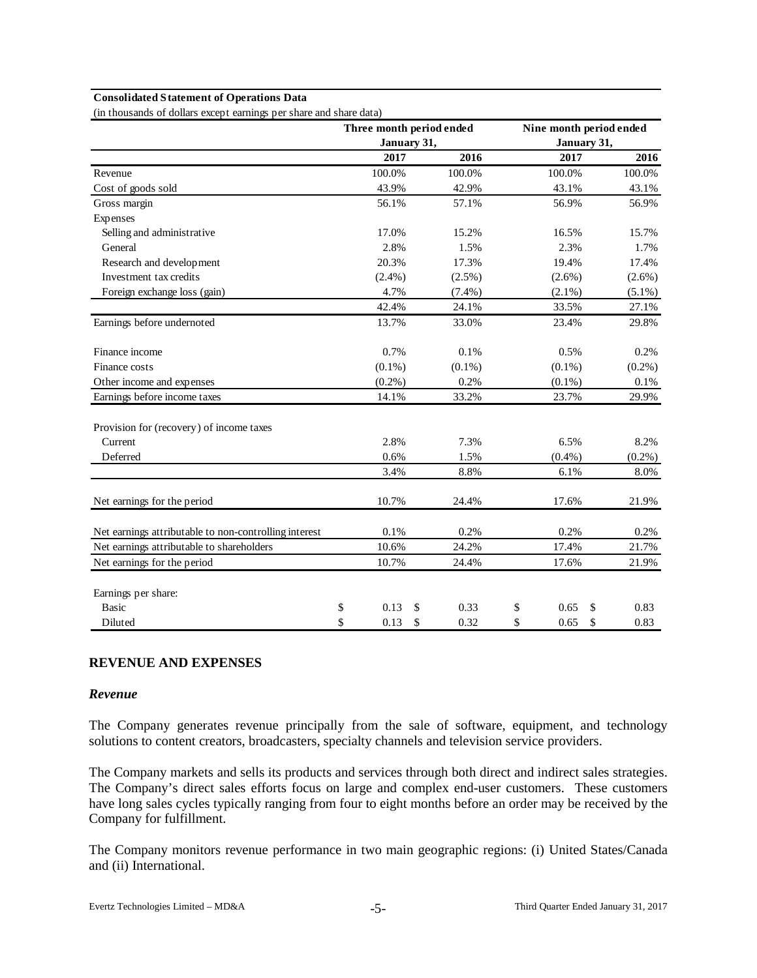#### **Consolidated Statement of Operations Data**

(in thousands of dollars except earnings per share and share data)

|                                                       | Three month period ended |      |             |           | Nine month period ended |    |           |
|-------------------------------------------------------|--------------------------|------|-------------|-----------|-------------------------|----|-----------|
|                                                       |                          |      | January 31, |           | January 31,             |    |           |
|                                                       |                          | 2017 |             | 2016      | 2017                    |    | 2016      |
| Revenue                                               | 100.0%                   |      |             | 100.0%    | 100.0%                  |    | 100.0%    |
| Cost of goods sold                                    | 43.9%                    |      |             | 42.9%     | 43.1%                   |    | 43.1%     |
| Gross margin                                          | 56.1%                    |      |             | 57.1%     | 56.9%                   |    | 56.9%     |
| Expenses                                              |                          |      |             |           |                         |    |           |
| Selling and administrative                            | 17.0%                    |      |             | 15.2%     | 16.5%                   |    | 15.7%     |
| General                                               |                          | 2.8% |             | 1.5%      | 2.3%                    |    | 1.7%      |
| Research and development                              | 20.3%                    |      |             | 17.3%     | 19.4%                   |    | 17.4%     |
| Investment tax credits                                | $(2.4\%)$                |      |             | $(2.5\%)$ | $(2.6\%)$               |    | $(2.6\%)$ |
| Foreign exchange loss (gain)                          |                          | 4.7% |             | $(7.4\%)$ | $(2.1\%)$               |    | $(5.1\%)$ |
|                                                       | 42.4%                    |      |             | 24.1%     | 33.5%                   |    | 27.1%     |
| Earnings before undernoted                            | 13.7%                    |      |             | 33.0%     | 23.4%                   |    | 29.8%     |
| Finance income                                        |                          | 0.7% |             | 0.1%      | 0.5%                    |    | 0.2%      |
| Finance costs                                         | $(0.1\%)$                |      |             | $(0.1\%)$ | $(0.1\%)$               |    | $(0.2\%)$ |
| Other income and expenses                             | $(0.2\%)$                |      |             | 0.2%      | $(0.1\%)$               |    | 0.1%      |
| Earnings before income taxes                          | 14.1%                    |      |             | 33.2%     | 23.7%                   |    | 29.9%     |
| Provision for (recovery) of income taxes              |                          |      |             |           |                         |    |           |
| Current                                               |                          | 2.8% |             | 7.3%      | 6.5%                    |    | 8.2%      |
| Deferred                                              |                          | 0.6% |             | 1.5%      | $(0.4\%)$               |    | $(0.2\%)$ |
|                                                       |                          | 3.4% |             | 8.8%      | 6.1%                    |    | 8.0%      |
| Net earnings for the period                           | 10.7%                    |      |             | 24.4%     | 17.6%                   |    | 21.9%     |
| Net earnings attributable to non-controlling interest |                          | 0.1% |             | 0.2%      | 0.2%                    |    | 0.2%      |
| Net earnings attributable to shareholders             | 10.6%                    |      |             | 24.2%     | 17.4%                   |    | 21.7%     |
| Net earnings for the period                           | 10.7%                    |      |             | 24.4%     | 17.6%                   |    | 21.9%     |
| Earnings per share:                                   |                          |      |             |           |                         |    |           |
| <b>Basic</b>                                          | \$                       | 0.13 | \$          | 0.33      | \$<br>0.65              | \$ | 0.83      |
| Diluted                                               | \$<br>0.13               |      | \$          | 0.32      | \$<br>0.65              | \$ | 0.83      |

### **REVENUE AND EXPENSES**

#### *Revenue*

The Company generates revenue principally from the sale of software, equipment, and technology solutions to content creators, broadcasters, specialty channels and television service providers.

The Company markets and sells its products and services through both direct and indirect sales strategies. The Company's direct sales efforts focus on large and complex end-user customers. These customers have long sales cycles typically ranging from four to eight months before an order may be received by the Company for fulfillment.

The Company monitors revenue performance in two main geographic regions: (i) United States/Canada and (ii) International.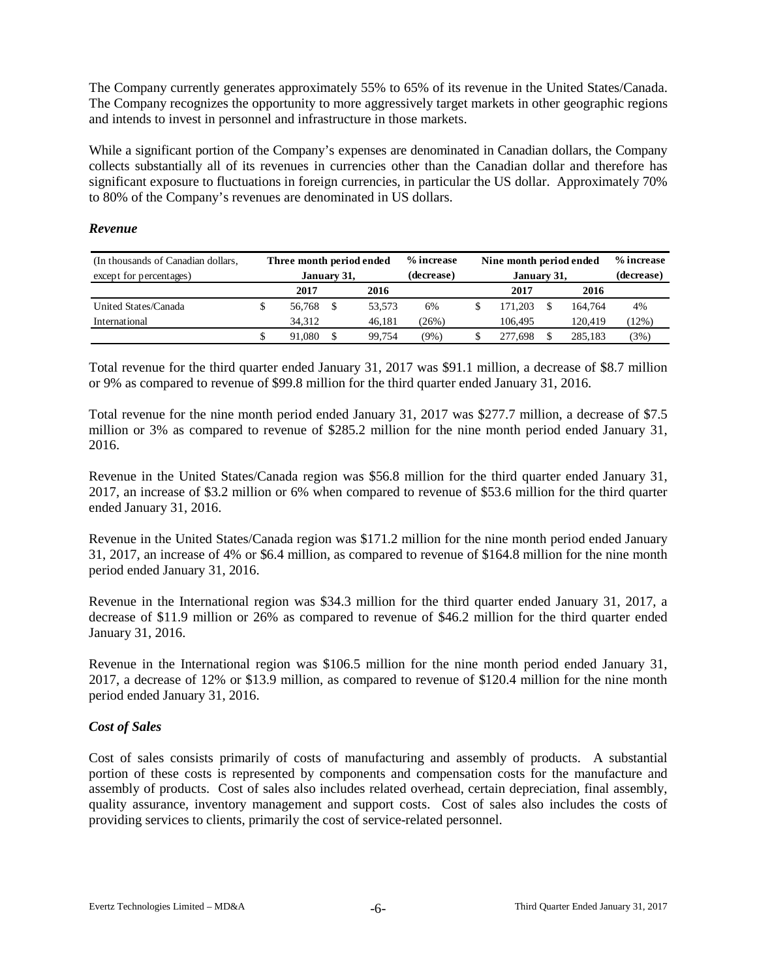The Company currently generates approximately 55% to 65% of its revenue in the United States/Canada. The Company recognizes the opportunity to more aggressively target markets in other geographic regions and intends to invest in personnel and infrastructure in those markets.

While a significant portion of the Company's expenses are denominated in Canadian dollars, the Company collects substantially all of its revenues in currencies other than the Canadian dollar and therefore has significant exposure to fluctuations in foreign currencies, in particular the US dollar. Approximately 70% to 80% of the Company's revenues are denominated in US dollars.

## *Revenue*

| (In thousands of Canadian dollars, | Three month period ended |              |  |        | % increase | Nine month period ended |            | % increase |       |
|------------------------------------|--------------------------|--------------|--|--------|------------|-------------------------|------------|------------|-------|
| except for percentages)            |                          | January 31,  |  |        | (decrease) | January 31,             | (decrease) |            |       |
|                                    |                          | 2017<br>2016 |  |        |            | 2017                    | 2016       |            |       |
| United States/Canada               | ъ                        | 56,768       |  | 53.573 | 6%         | 171.203                 |            | 164.764    | 4%    |
| International                      |                          | 34.312       |  | 46.181 | (26%)      | 106.495                 |            | 120.419    | (12%) |
|                                    |                          | 91.080       |  | 99.754 | (9%)       | 277.698                 |            | 285.183    | (3%)  |

Total revenue for the third quarter ended January 31, 2017 was \$91.1 million, a decrease of \$8.7 million or 9% as compared to revenue of \$99.8 million for the third quarter ended January 31, 2016.

Total revenue for the nine month period ended January 31, 2017 was \$277.7 million, a decrease of \$7.5 million or 3% as compared to revenue of \$285.2 million for the nine month period ended January 31, 2016.

Revenue in the United States/Canada region was \$56.8 million for the third quarter ended January 31, 2017, an increase of \$3.2 million or 6% when compared to revenue of \$53.6 million for the third quarter ended January 31, 2016.

Revenue in the United States/Canada region was \$171.2 million for the nine month period ended January 31, 2017, an increase of 4% or \$6.4 million, as compared to revenue of \$164.8 million for the nine month period ended January 31, 2016.

Revenue in the International region was \$34.3 million for the third quarter ended January 31, 2017, a decrease of \$11.9 million or 26% as compared to revenue of \$46.2 million for the third quarter ended January 31, 2016.

Revenue in the International region was \$106.5 million for the nine month period ended January 31, 2017, a decrease of 12% or \$13.9 million, as compared to revenue of \$120.4 million for the nine month period ended January 31, 2016.

## *Cost of Sales*

Cost of sales consists primarily of costs of manufacturing and assembly of products. A substantial portion of these costs is represented by components and compensation costs for the manufacture and assembly of products. Cost of sales also includes related overhead, certain depreciation, final assembly, quality assurance, inventory management and support costs. Cost of sales also includes the costs of providing services to clients, primarily the cost of service-related personnel.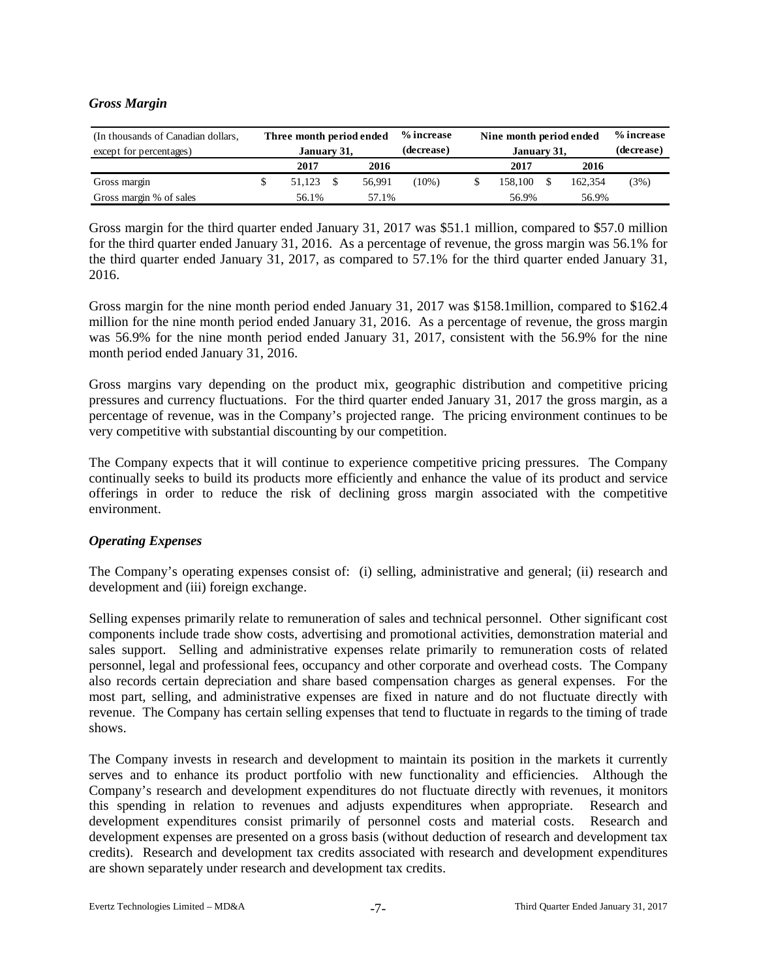## *Gross Margin*

| (In thousands of Canadian dollars,<br>except for percentages) | Three month period ended<br>January 31, |  |        | % increase<br>(decrease) | Nine month period ended<br>January 31, | % increase<br>(decrease) |         |      |
|---------------------------------------------------------------|-----------------------------------------|--|--------|--------------------------|----------------------------------------|--------------------------|---------|------|
|                                                               | 2017<br>2016                            |  |        |                          | 2017                                   |                          | 2016    |      |
| Gross margin                                                  | 51.123                                  |  | 56.991 | $(10\%)$                 | 158.100                                |                          | 162,354 | (3%) |
| Gross margin % of sales                                       | 56.1%<br>57.1%                          |  |        |                          | 56.9%                                  | 56.9%                    |         |      |

Gross margin for the third quarter ended January 31, 2017 was \$51.1 million, compared to \$57.0 million for the third quarter ended January 31, 2016. As a percentage of revenue, the gross margin was 56.1% for the third quarter ended January 31, 2017, as compared to 57.1% for the third quarter ended January 31, 2016.

Gross margin for the nine month period ended January 31, 2017 was \$158.1million, compared to \$162.4 million for the nine month period ended January 31, 2016. As a percentage of revenue, the gross margin was 56.9% for the nine month period ended January 31, 2017, consistent with the 56.9% for the nine month period ended January 31, 2016.

Gross margins vary depending on the product mix, geographic distribution and competitive pricing pressures and currency fluctuations. For the third quarter ended January 31, 2017 the gross margin, as a percentage of revenue, was in the Company's projected range. The pricing environment continues to be very competitive with substantial discounting by our competition.

The Company expects that it will continue to experience competitive pricing pressures. The Company continually seeks to build its products more efficiently and enhance the value of its product and service offerings in order to reduce the risk of declining gross margin associated with the competitive environment.

## *Operating Expenses*

The Company's operating expenses consist of: (i) selling, administrative and general; (ii) research and development and (iii) foreign exchange.

Selling expenses primarily relate to remuneration of sales and technical personnel. Other significant cost components include trade show costs, advertising and promotional activities, demonstration material and sales support. Selling and administrative expenses relate primarily to remuneration costs of related personnel, legal and professional fees, occupancy and other corporate and overhead costs. The Company also records certain depreciation and share based compensation charges as general expenses. For the most part, selling, and administrative expenses are fixed in nature and do not fluctuate directly with revenue. The Company has certain selling expenses that tend to fluctuate in regards to the timing of trade shows.

The Company invests in research and development to maintain its position in the markets it currently serves and to enhance its product portfolio with new functionality and efficiencies. Although the Company's research and development expenditures do not fluctuate directly with revenues, it monitors this spending in relation to revenues and adjusts expenditures when appropriate. Research and development expenditures consist primarily of personnel costs and material costs. Research and development expenses are presented on a gross basis (without deduction of research and development tax credits). Research and development tax credits associated with research and development expenditures are shown separately under research and development tax credits.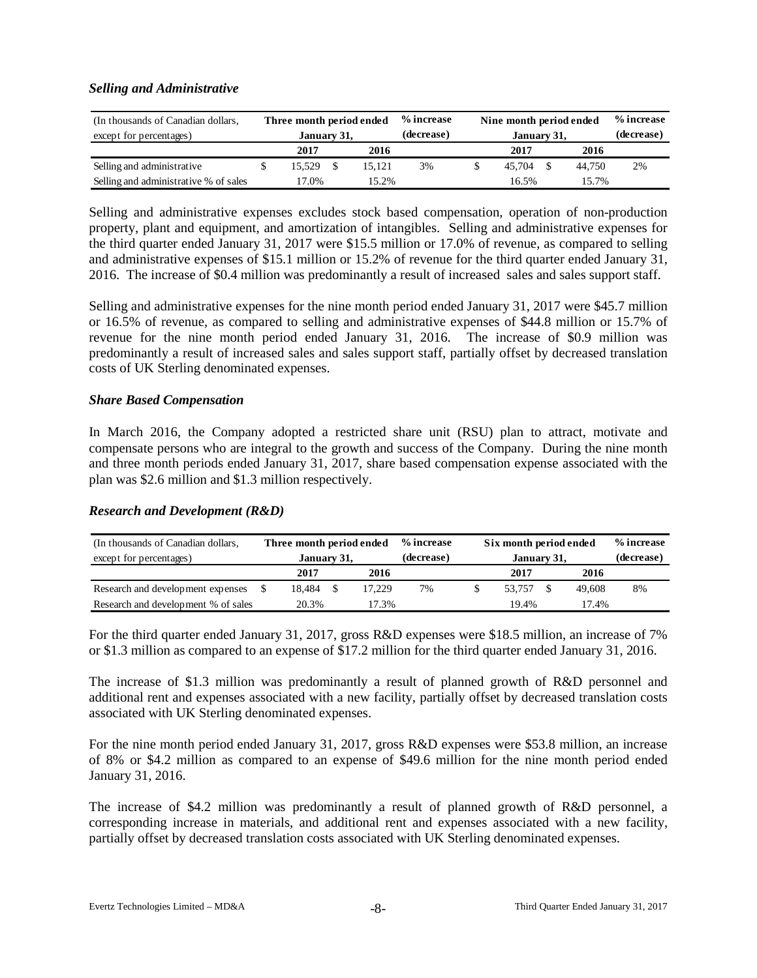### *Selling and Administrative*

| (In thousands of Canadian dollars,    |                | Three month period ended |  |        | % increase | Nine month period ended |  | % increase |    |
|---------------------------------------|----------------|--------------------------|--|--------|------------|-------------------------|--|------------|----|
| except for percentages)               |                | January 31,              |  |        | (decrease) | January 31,             |  | (decrease) |    |
|                                       |                | 2017<br>2016             |  |        |            | 2017                    |  | 2016       |    |
| Selling and administrative            |                | 15.529                   |  | 15.121 | 3%         | 45.704                  |  | 44.750     | 2% |
| Selling and administrative % of sales | 17.0%<br>15.2% |                          |  |        | 16.5%      | 15.7%                   |  |            |    |

Selling and administrative expenses excludes stock based compensation, operation of non-production property, plant and equipment, and amortization of intangibles. Selling and administrative expenses for the third quarter ended January 31, 2017 were \$15.5 million or 17.0% of revenue, as compared to selling and administrative expenses of \$15.1 million or 15.2% of revenue for the third quarter ended January 31, 2016. The increase of \$0.4 million was predominantly a result of increased sales and sales support staff.

Selling and administrative expenses for the nine month period ended January 31, 2017 were \$45.7 million or 16.5% of revenue, as compared to selling and administrative expenses of \$44.8 million or 15.7% of revenue for the nine month period ended January 31, 2016. The increase of \$0.9 million was predominantly a result of increased sales and sales support staff, partially offset by decreased translation costs of UK Sterling denominated expenses.

### *Share Based Compensation*

In March 2016, the Company adopted a restricted share unit (RSU) plan to attract, motivate and compensate persons who are integral to the growth and success of the Company. During the nine month and three month periods ended January 31, 2017, share based compensation expense associated with the plan was \$2.6 million and \$1.3 million respectively.

## *Research and Development (R&D)*

| (In thousands of Canadian dollars,  |              | Three month period ended |       |        | % increase | Six month period ended |            | % increase |    |
|-------------------------------------|--------------|--------------------------|-------|--------|------------|------------------------|------------|------------|----|
| except for percentages)             |              | January 31,              |       |        | (decrease) | January 31,            | (decrease) |            |    |
|                                     | 2017<br>2016 |                          |       |        |            | 2017                   | 2016       |            |    |
| Research and development expenses   |              | 18.484                   |       | 17.229 | 7%         | 53.757                 |            | 49,608     | 8% |
| Research and development % of sales | 20.3%        |                          | 17.3% |        | 19.4%      |                        | 17.4%      |            |    |

For the third quarter ended January 31, 2017, gross R&D expenses were \$18.5 million, an increase of 7% or \$1.3 million as compared to an expense of \$17.2 million for the third quarter ended January 31, 2016.

The increase of \$1.3 million was predominantly a result of planned growth of R&D personnel and additional rent and expenses associated with a new facility, partially offset by decreased translation costs associated with UK Sterling denominated expenses.

For the nine month period ended January 31, 2017, gross R&D expenses were \$53.8 million, an increase of 8% or \$4.2 million as compared to an expense of \$49.6 million for the nine month period ended January 31, 2016.

The increase of \$4.2 million was predominantly a result of planned growth of R&D personnel, a corresponding increase in materials, and additional rent and expenses associated with a new facility, partially offset by decreased translation costs associated with UK Sterling denominated expenses.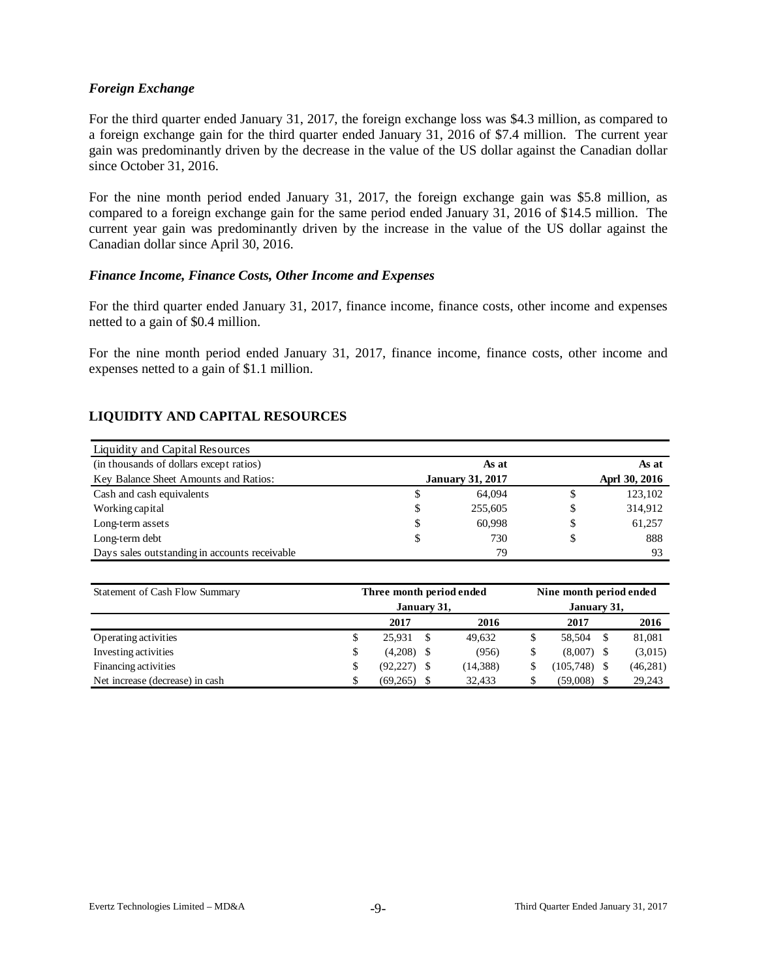### *Foreign Exchange*

For the third quarter ended January 31, 2017, the foreign exchange loss was \$4.3 million, as compared to a foreign exchange gain for the third quarter ended January 31, 2016 of \$7.4 million. The current year gain was predominantly driven by the decrease in the value of the US dollar against the Canadian dollar since October 31, 2016.

For the nine month period ended January 31, 2017, the foreign exchange gain was \$5.8 million, as compared to a foreign exchange gain for the same period ended January 31, 2016 of \$14.5 million. The current year gain was predominantly driven by the increase in the value of the US dollar against the Canadian dollar since April 30, 2016.

### *Finance Income, Finance Costs, Other Income and Expenses*

For the third quarter ended January 31, 2017, finance income, finance costs, other income and expenses netted to a gain of \$0.4 million.

For the nine month period ended January 31, 2017, finance income, finance costs, other income and expenses netted to a gain of \$1.1 million.

### **LIQUIDITY AND CAPITAL RESOURCES**

| Liquidity and Capital Resources               |    |                         |               |
|-----------------------------------------------|----|-------------------------|---------------|
| (in thousands of dollars except ratios)       |    | As at                   | As at         |
| Key Balance Sheet Amounts and Ratios:         |    | <b>January 31, 2017</b> | Aprl 30, 2016 |
| Cash and cash equivalents                     | P  | 64,094                  | \$<br>123,102 |
| Working capital                               | \$ | 255,605                 | \$<br>314,912 |
| Long-term assets                              | \$ | 60.998                  | \$<br>61,257  |
| Long-term debt                                | \$ | 730                     | \$<br>888     |
| Days sales outstanding in accounts receivable |    | 79                      | 93            |

| Statement of Cash Flow Summary  | Three month period ended |             | Nine month period ended |  |                |    |           |  |
|---------------------------------|--------------------------|-------------|-------------------------|--|----------------|----|-----------|--|
|                                 | January 31,              | January 31, |                         |  |                |    |           |  |
|                                 | 2017                     |             | 2016                    |  | 2017           |    | 2016      |  |
| Operating activities            | \$<br>25.931             | S           | 49.632                  |  | 58.504         | -S | 81,081    |  |
| Investing activities            | \$<br>(4,208)            | - \$        | (956)                   |  | $(8,007)$ \$   |    | (3,015)   |  |
| Financing activities            | \$<br>$(92, 227)$ \$     |             | (14, 388)               |  | $(105,748)$ \$ |    | (46, 281) |  |
| Net increase (decrease) in cash | \$<br>(69, 265)          |             | 32.433                  |  | (59,008)       |    | 29,243    |  |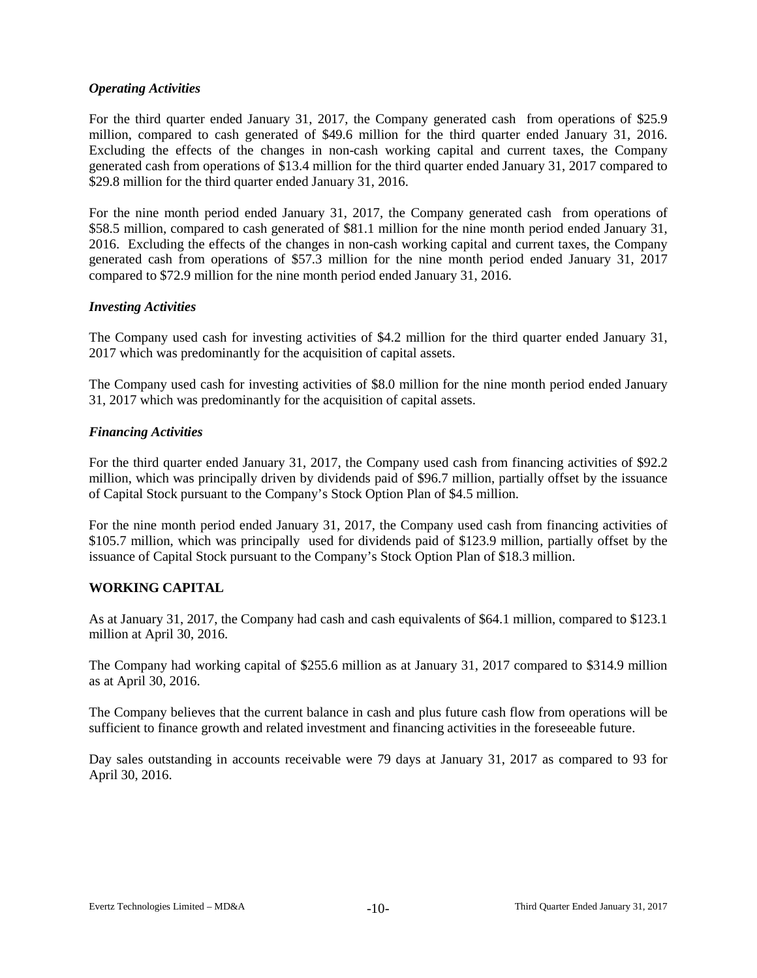## *Operating Activities*

For the third quarter ended January 31, 2017, the Company generated cash from operations of \$25.9 million, compared to cash generated of \$49.6 million for the third quarter ended January 31, 2016. Excluding the effects of the changes in non-cash working capital and current taxes, the Company generated cash from operations of \$13.4 million for the third quarter ended January 31, 2017 compared to \$29.8 million for the third quarter ended January 31, 2016.

For the nine month period ended January 31, 2017, the Company generated cash from operations of \$58.5 million, compared to cash generated of \$81.1 million for the nine month period ended January 31, 2016. Excluding the effects of the changes in non-cash working capital and current taxes, the Company generated cash from operations of \$57.3 million for the nine month period ended January 31, 2017 compared to \$72.9 million for the nine month period ended January 31, 2016.

## *Investing Activities*

The Company used cash for investing activities of \$4.2 million for the third quarter ended January 31, 2017 which was predominantly for the acquisition of capital assets.

The Company used cash for investing activities of \$8.0 million for the nine month period ended January 31, 2017 which was predominantly for the acquisition of capital assets.

### *Financing Activities*

For the third quarter ended January 31, 2017, the Company used cash from financing activities of \$92.2 million, which was principally driven by dividends paid of \$96.7 million, partially offset by the issuance of Capital Stock pursuant to the Company's Stock Option Plan of \$4.5 million.

For the nine month period ended January 31, 2017, the Company used cash from financing activities of \$105.7 million, which was principally used for dividends paid of \$123.9 million, partially offset by the issuance of Capital Stock pursuant to the Company's Stock Option Plan of \$18.3 million.

# **WORKING CAPITAL**

As at January 31, 2017, the Company had cash and cash equivalents of \$64.1 million, compared to \$123.1 million at April 30, 2016.

The Company had working capital of \$255.6 million as at January 31, 2017 compared to \$314.9 million as at April 30, 2016.

The Company believes that the current balance in cash and plus future cash flow from operations will be sufficient to finance growth and related investment and financing activities in the foreseeable future.

Day sales outstanding in accounts receivable were 79 days at January 31, 2017 as compared to 93 for April 30, 2016.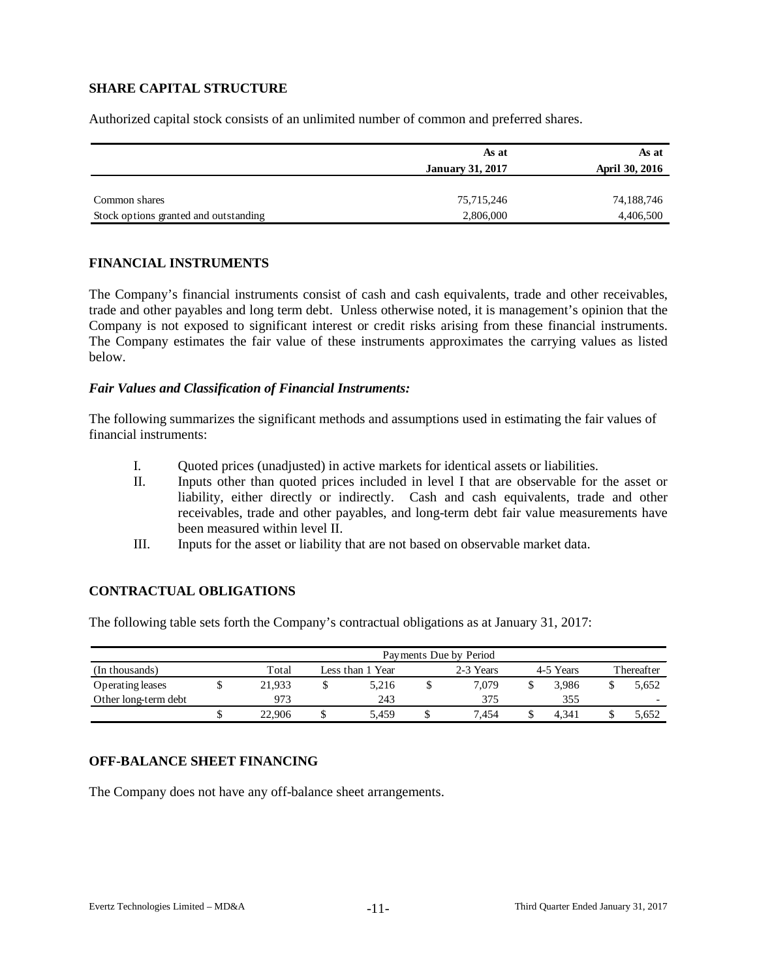# **SHARE CAPITAL STRUCTURE**

Authorized capital stock consists of an unlimited number of common and preferred shares.

|                                       | As at                   | As at                 |
|---------------------------------------|-------------------------|-----------------------|
|                                       | <b>January 31, 2017</b> | <b>April 30, 2016</b> |
|                                       |                         |                       |
| Common shares                         | 75,715,246              | 74,188,746            |
| Stock options granted and outstanding | 2,806,000               | 4,406,500             |

### **FINANCIAL INSTRUMENTS**

The Company's financial instruments consist of cash and cash equivalents, trade and other receivables, trade and other payables and long term debt. Unless otherwise noted, it is management's opinion that the Company is not exposed to significant interest or credit risks arising from these financial instruments. The Company estimates the fair value of these instruments approximates the carrying values as listed below.

### *Fair Values and Classification of Financial Instruments:*

The following summarizes the significant methods and assumptions used in estimating the fair values of financial instruments:

- I. Quoted prices (unadjusted) in active markets for identical assets or liabilities.
- II. Inputs other than quoted prices included in level I that are observable for the asset or liability, either directly or indirectly. Cash and cash equivalents, trade and other receivables, trade and other payables, and long-term debt fair value measurements have been measured within level II.
- III. Inputs for the asset or liability that are not based on observable market data.

## **CONTRACTUAL OBLIGATIONS**

The following table sets forth the Company's contractual obligations as at January 31, 2017:

|                      | Payments Due by Period |        |   |                  |  |           |  |           |            |                          |  |  |  |  |
|----------------------|------------------------|--------|---|------------------|--|-----------|--|-----------|------------|--------------------------|--|--|--|--|
| (In thousands)       |                        | Total  |   | Less than 1 Year |  | 2-3 Years |  | 4-5 Years | Thereafter |                          |  |  |  |  |
| Operating leases     |                        | 21.933 |   | 5.216            |  | 7.079     |  | 3.986     |            | 5,652                    |  |  |  |  |
| Other long-term debt |                        | 973    |   | 243              |  | 375       |  | 355       |            | $\overline{\phantom{0}}$ |  |  |  |  |
|                      |                        | 22.906 | J | 5.459            |  | 7.454     |  | 4.341     |            | 5,652                    |  |  |  |  |

## **OFF-BALANCE SHEET FINANCING**

The Company does not have any off-balance sheet arrangements.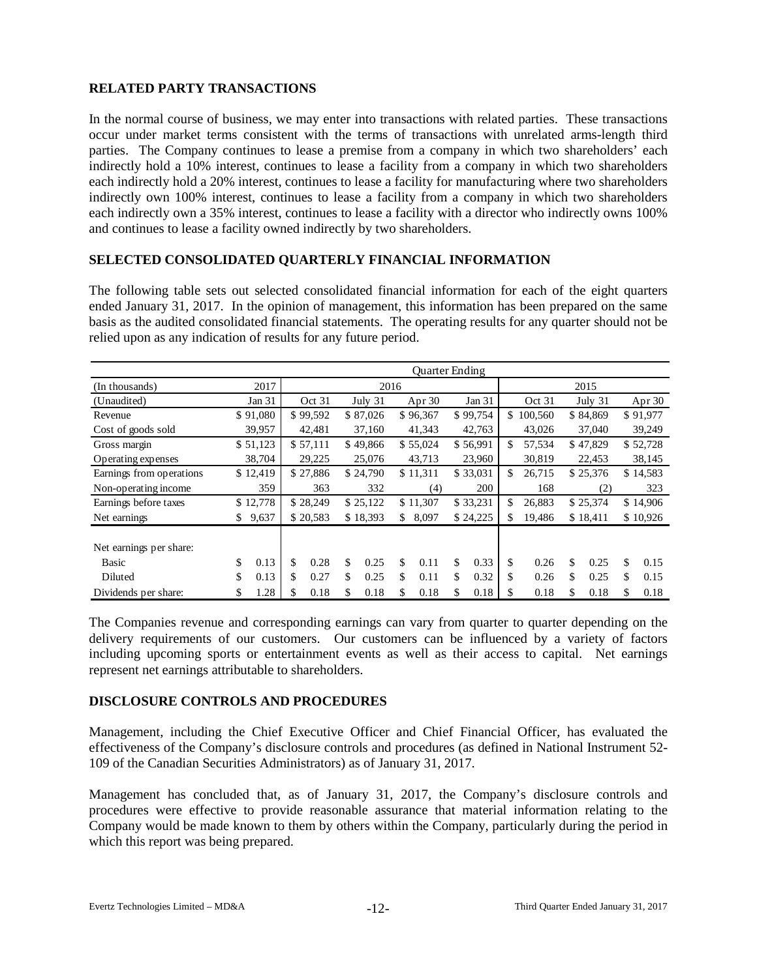# **RELATED PARTY TRANSACTIONS**

In the normal course of business, we may enter into transactions with related parties. These transactions occur under market terms consistent with the terms of transactions with unrelated arms-length third parties. The Company continues to lease a premise from a company in which two shareholders' each indirectly hold a 10% interest, continues to lease a facility from a company in which two shareholders each indirectly hold a 20% interest, continues to lease a facility for manufacturing where two shareholders indirectly own 100% interest, continues to lease a facility from a company in which two shareholders each indirectly own a 35% interest, continues to lease a facility with a director who indirectly owns 100% and continues to lease a facility owned indirectly by two shareholders.

## **SELECTED CONSOLIDATED QUARTERLY FINANCIAL INFORMATION**

The following table sets out selected consolidated financial information for each of the eight quarters ended January 31, 2017. In the opinion of management, this information has been prepared on the same basis as the audited consolidated financial statements. The operating results for any quarter should not be relied upon as any indication of results for any future period.

|                          | <b>Ouarter Ending</b> |                   |          |    |          |          |          |        |          |        |         |         |          |        |          |
|--------------------------|-----------------------|-------------------|----------|----|----------|----------|----------|--------|----------|--------|---------|---------|----------|--------|----------|
| (In thousands)           | 2017                  |                   |          |    |          | 2016     |          |        |          |        |         |         | 2015     |        |          |
| (Unaudited)              | Jan 31                | Oct 31<br>July 31 |          |    |          | Apr $30$ |          | Jan 31 |          | Oct 31 |         | July 31 |          | Apr 30 |          |
| Revenue                  | \$91,080              |                   | \$99,592 |    | \$87,026 |          | \$96,367 |        | \$99,754 | \$.    | 100,560 |         | \$84,869 |        | \$91,977 |
| Cost of goods sold       | 39,957                |                   | 42,481   |    | 37,160   |          | 41,343   |        | 42,763   |        | 43,026  |         | 37,040   |        | 39,249   |
| Gross margin             | \$51,123              |                   | \$57,111 |    | \$49,866 |          | \$55,024 |        | \$56,991 | \$     | 57.534  |         | \$47,829 |        | \$52,728 |
| Operating expenses       | 38,704                |                   | 29,225   |    | 25,076   |          | 43,713   |        | 23,960   |        | 30,819  |         | 22,453   |        | 38,145   |
| Earnings from operations | \$12,419              |                   | \$27,886 |    | \$24,790 |          | \$11,311 |        | \$33,031 | \$     | 26,715  |         | \$25,376 |        | \$14,583 |
| Non-operating income     | 359                   |                   | 363      |    | 332      |          | (4)      |        | 200      |        | 168     |         | (2)      |        | 323      |
| Earnings before taxes    | \$12,778              |                   | \$28,249 |    | \$25,122 |          | \$11,307 |        | \$33,231 | \$     | 26,883  |         | \$25,374 |        | \$14,906 |
| Net earnings             | \$<br>9,637           |                   | \$20,583 |    | \$18,393 | \$       | 8,097    |        | \$24,225 | \$     | 19,486  |         | \$18,411 |        | \$10,926 |
|                          |                       |                   |          |    |          |          |          |        |          |        |         |         |          |        |          |
| Net earnings per share:  |                       |                   |          |    |          |          |          |        |          |        |         |         |          |        |          |
| Basic                    | \$<br>0.13            | \$                | 0.28     | \$ | 0.25     | \$       | 0.11     | \$     | 0.33     | \$     | 0.26    | \$      | 0.25     | \$     | 0.15     |
| Diluted                  | \$<br>0.13            | \$                | 0.27     | \$ | 0.25     | \$       | 0.11     | \$     | 0.32     | \$     | 0.26    | \$      | 0.25     | \$     | 0.15     |
| Dividends per share:     | \$<br>1.28            | \$                | 0.18     | \$ | 0.18     | \$       | 0.18     | \$     | 0.18     | \$     | 0.18    | \$      | 0.18     | \$     | 0.18     |

The Companies revenue and corresponding earnings can vary from quarter to quarter depending on the delivery requirements of our customers. Our customers can be influenced by a variety of factors including upcoming sports or entertainment events as well as their access to capital. Net earnings represent net earnings attributable to shareholders.

#### **DISCLOSURE CONTROLS AND PROCEDURES**

Management, including the Chief Executive Officer and Chief Financial Officer, has evaluated the effectiveness of the Company's disclosure controls and procedures (as defined in National Instrument 52- 109 of the Canadian Securities Administrators) as of January 31, 2017.

Management has concluded that, as of January 31, 2017, the Company's disclosure controls and procedures were effective to provide reasonable assurance that material information relating to the Company would be made known to them by others within the Company, particularly during the period in which this report was being prepared.